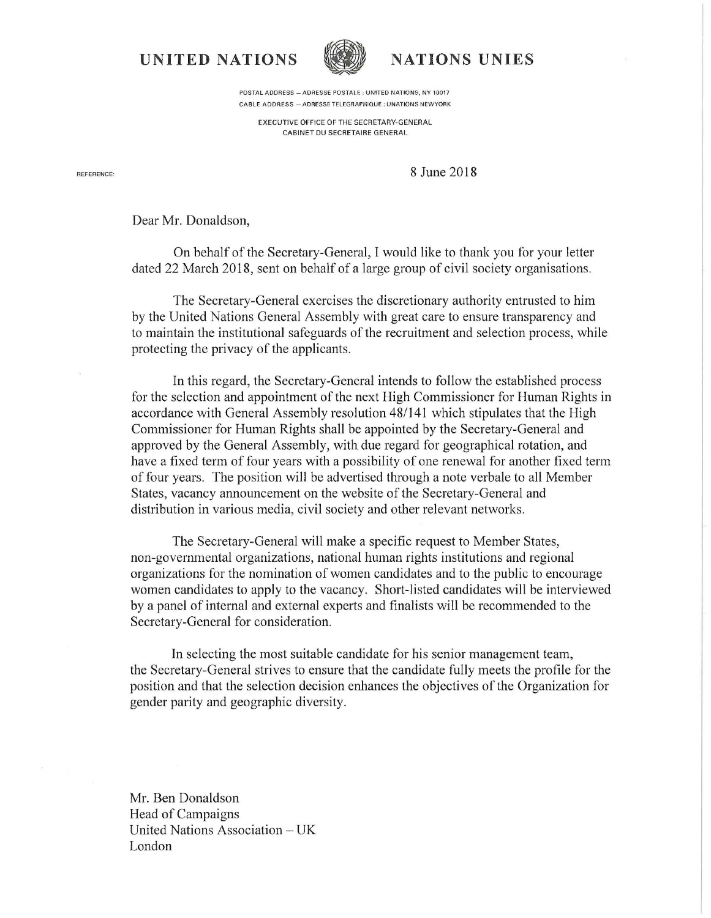UNITED NATIONS ||||| NATIONS UNIES



POSTAL ADDRESS - ADRESSE POSTALE : UNITED NATIONS, NY 10017 CABLE ADDRESS - ADRESSE TELEGRAPHIOUE : UNATIONS NEWYORK

EXECUTIVE OFFICE OF THE SECRETARY-GENERAL CABINET DU SECRETAIRE GENERAL

REFERENCE:

8 June 2018

Dear Mr. Donaldson,

On behalf of the Secretary-General, I would like to thank you for your letter dated 22 March 2018, sent on behalf of a large group of civil society organisations.

The Secretary-General exercises the discretionary authority entrusted to him by the United Nations General Assembly with great care to ensure transparency and to maintain the institutional safeguards of the recruitment and selection process, while protecting the privacy of the applicants.

In this regard, the Secretary-General intends to follow the established process for the selection and appointment of the next High Commissioner for Human Rights in accordance with General Assembly resolution 48/141 which stipulates that the High Commissioner for Human Rights shall be appointed by the Secretary-General and approved by the General Assembly, with due regard for geographical rotation, and have a fixed term of four years with a possibility of one renewal for another fixed term of four years. The position will be advertised through a note verbale to all Member States, vacancy announcement on the website of the Secretary-General and distribution in various media, civil society and other relevant networks.

The Secretary-General will make a specific request to Member States, non-governmental organizations, national human rights institutions and regional organizations for the nomination of women candidates and to the public to encourage women candidates to apply to the vacancy. Short-listed candidates will be interviewed by a panel of internal and external experts and finalists will be recommended to the Secretary-General for consideration.

In selecting the most suitable candidate for his senior management team, the Secretary-General strives to ensure that the candidate fully meets the profile for the position and that the selection decision enhances the objectives of the Organization for gender parity and geographic diversity.

Mr. Ben Donaldson Head of Campaigns United Nations Association - UK London